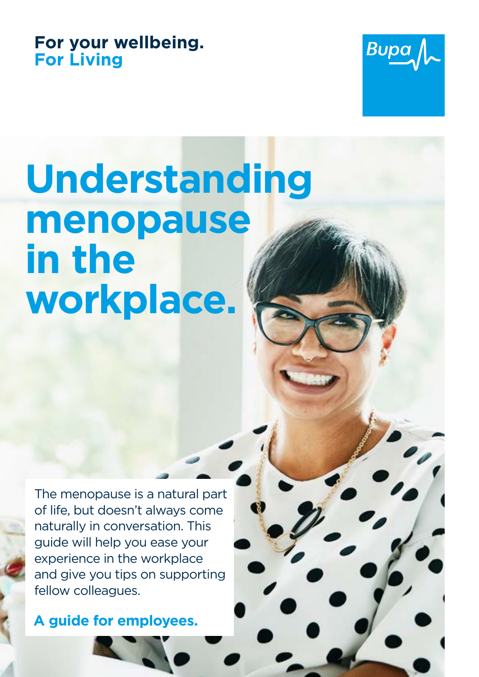## **For your wellbeing. For Living**



# **Understanding menopause in the workplace.**

The menopause is a natural part of life, but doesn't always come naturally in conversation. This guide will help you ease your experience in the workplace and give you tips on supporting fellow colleagues.

**A guide for employees.**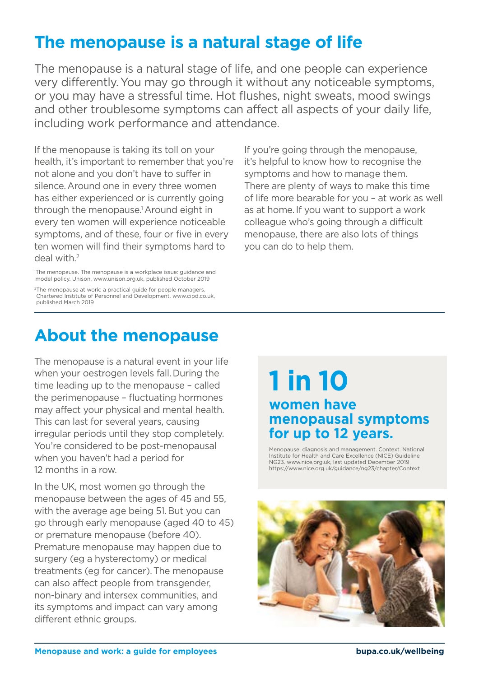# **The menopause is a natural stage of life**

The menopause is a natural stage of life, and one people can experience very differently.You may go through it without any noticeable symptoms, or you may have a stressful time. Hot flushes, night sweats, mood swings and other troublesome symptoms can affect all aspects of your daily life, including work performance and attendance.

If the menopause is taking its toll on your health, it's important to remember that you're not alone and you don't have to suffer in silence. Around one in every three women has either experienced or is currently going through the menopause.1 Around eight in every ten women will experience noticeable symptoms, and of these, four or five in every ten women will find their symptoms hard to deal with.<sup>2</sup>

1 The menopause. The menopause is a workplace issue: guidance and model policy. Unison. www.unison.org.uk, published October 2019

<sup>2</sup>The menopause at work: a practical guide for people managers. Chartered Institute of Personnel and Development. www.cipd.co.uk, published March 2019

If you're going through the menopause, it's helpful to know how to recognise the symptoms and how to manage them. There are plenty of ways to make this time of life more bearable for you – at work as well as at home.If you want to support a work colleague who's going through a difficult menopause, there are also lots of things you can do to help them.

# **About the menopause**

The menopause is a natural event in your life when your oestrogen levels fall.During the time leading up to the menopause – called the perimenopause – fluctuating hormones may affect your physical and mental health. This can last for several years, causing irregular periods until they stop completely. You're considered to be post-menopausal when you haven't had a period for 12 months in a row.

In the UK, most women go through the menopause between the ages of 45 and 55, with the average age being 51. But you can go through early menopause (aged 40 to 45) or premature menopause (before 40). Premature menopause may happen due to surgery (eg a hysterectomy) or medical treatments (eg for cancer).The menopause can also affect people from transgender, non-binary and intersex communities, and its symptoms and impact can vary among different ethnic groups.

# **1 in 10 women have menopausal symptoms for up to 12 years.**

Menopause: diagnosis and management. Context. National Institute for Health and Care Excellence (NICE) Guideline NG23. www.nice.org.uk, last updated December 2019 https://www.nice.org.uk/guidance/ng23/chapter/Context

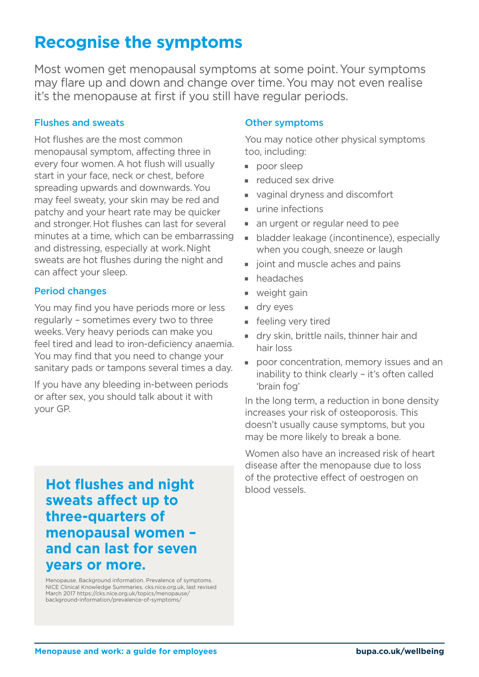# **Recognise the symptoms**

Most women get menopausal symptoms at some point.Your symptoms may flare up and down and change over time.You may not even realise it's the menopause at first if you still have regular periods.

### Flushes and sweats

Hot flushes are the most common menopausal symptom, affecting three in every four women.A hot flush will usually start in your face, neck or chest, before spreading upwards and downwards.You may feel sweaty, your skin may be red and patchy and your heart rate may be quicker and stronger.Hot flushes can last for several minutes at a time, which can be embarrassing and distressing, especially at work.Night sweats are hot flushes during the night and can affect your sleep.

### Period changes

You may find you have periods more or less regularly – sometimes every two to three weeks.Very heavy periods can make you feel tired and lead to iron-deficiency anaemia. You may find that you need to change your sanitary pads or tampons several times a day.

If you have any bleeding in-between periods or after sex, you should talk about it with your GP.

**sweats affect up to three-quarters of menopausal women – and can last for seven years or more.** 

Menopause. Background information. Prevalence of symptoms. NICE Clinical Knowledge Summaries. cks.nice.org.uk, last revised March 2017 https://cks.nice.org.uk/topics/menopause/ background-information/prevalence-of-symptoms/

### Other symptoms

You may notice other physical symptoms too, including:

- **poor sleep**
- reduced sex drive
- vaginal dryness and discomfort
- $urine$  infections
- an urgent or regular need to pee
- $\blacksquare$  bladder leakage (incontinence), especially when you cough, sneeze or laugh
- ioint and muscle aches and pains
- $h$  headaches
- $\blacksquare$  weight gain
- $\blacksquare$  dry eyes
- **F** feeling very tired
- **Jurnal** dry skin, brittle nails, thinner hair and hair loss
- **poor concentration, memory issues and an** inability to think clearly – it's often called 'brain fog'

In the long term, a reduction in bone density increases your risk of osteoporosis. This doesn't usually cause symptoms, but you may be more likely to break a bone.

Women also have an increased risk of heart disease after the menopause due to loss **Hot flushes and night** of the protective effect of oestrogen on **Hot flushes and night**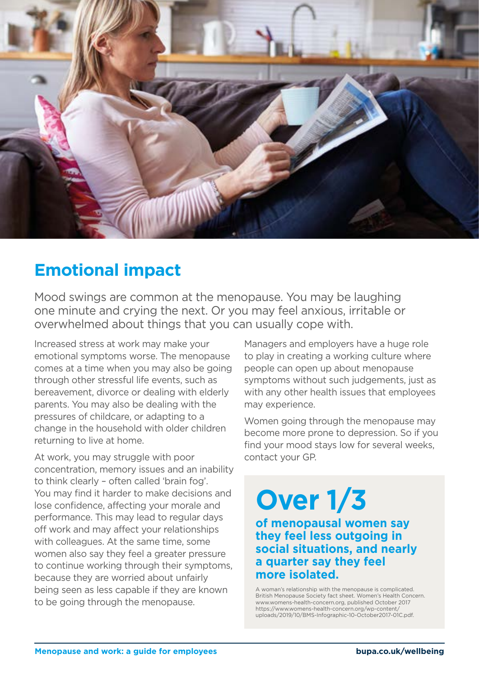

# **Emotional impact**

Mood swings are common at the menopause. You may be laughing one minute and crying the next. Or you may feel anxious, irritable or overwhelmed about things that you can usually cope with.

Increased stress at work may make your emotional symptoms worse. The menopause comes at a time when you may also be going through other stressful life events, such as bereavement, divorce or dealing with elderly parents. You may also be dealing with the pressures of childcare, or adapting to a change in the household with older children returning to live at home.

At work, you may struggle with poor concentration, memory issues and an inability to think clearly – often called 'brain fog'. You may find it harder to make decisions and lose confidence, affecting your morale and performance. This may lead to regular days off work and may affect your relationships with colleagues. At the same time, some women also say they feel a greater pressure to continue working through their symptoms, because they are worried about unfairly being seen as less capable if they are known to be going through the menopause.

Managers and employers have a huge role to play in creating a working culture where people can open up about menopause symptoms without such judgements, just as with any other health issues that employees may experience.

Women going through the menopause may become more prone to depression. So if you find your mood stays low for several weeks, contact your GP.

# **Over 1/3**

**of menopausal women say they feel less outgoing in social situations, and nearly a quarter say they feel more isolated.**

A woman's relationship with the menopause is complicated. British Menopause Society fact sheet. Women's Health Concern. www.womens-health-concern.org, published October 2017 https://www.womens-health-concern.org/wp-content/ uploads/2019/10/BMS-Infographic-10-October2017-01C.pdf.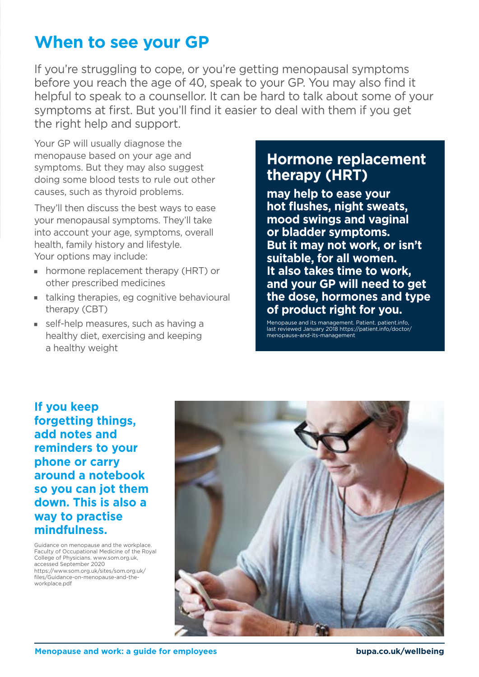# **When to see your GP**

If you're struggling to cope, or you're getting menopausal symptoms before you reach the age of 40, speak to your GP. You may also find it helpful to speak to a counsellor. It can be hard to talk about some of your symptoms at first. But you'll find it easier to deal with them if you get the right help and support.

Your GP will usually diagnose the menopause based on your age and symptoms. But they may also suggest doing some blood tests to rule out other causes, such as thyroid problems.

They'll then discuss the best ways to ease your menopausal symptoms. They'll take into account your age, symptoms, overall health, family history and lifestyle. Your options may include:

- hormone replacement therapy (HRT) or other prescribed medicines
- $\blacksquare$  talking therapies, eg cognitive behavioural therapy (CBT)
- self-help measures, such as having a healthy diet, exercising and keeping a healthy weight

### **Hormone replacement therapy (HRT)**

**may help to ease your hot flushes, night sweats, mood swings and vaginal or bladder symptoms. But it may not work, or isn't suitable, for all women. It also takes time to work, and your GP will need to get the dose, hormones and type of product right for you.**

Menopause and its management. Patient. patient.info, last reviewed January 2018 https://patient.info/doctor/ menopause-and-its-management

### **If you keep forgetting things, add notes and reminders to your phone or carry around a notebook so you can jot them down. This is also a way to practise mindfulness.**

Guidance on menopause and the workplace. Faculty of Occupational Medicine of the Royal College of Physicians. www.som.org.uk, accessed September 2020 https://www.som.org.uk/sites/som.org.uk/ files/Guidance-on-menopause-and-theworkplace.pdf

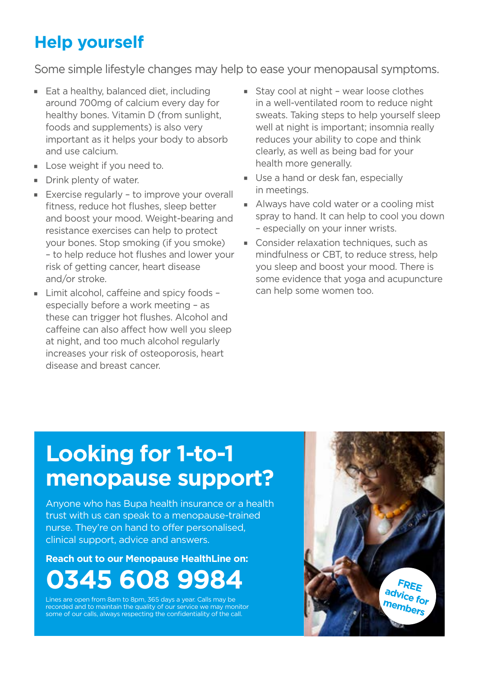# **Help yourself**

Some simple lifestyle changes may help to ease your menopausal symptoms.

- $\blacksquare$  Eat a healthy, balanced diet, including around 700mg of calcium every day for healthy bones. Vitamin D (from sunlight, foods and supplements) is also very important as it helps your body to absorb and use calcium.
- **Lose weight if you need to.**
- $\blacksquare$  Drink plenty of water.
- $\blacksquare$  Exercise regularly to improve your overall fitness, reduce hot flushes, sleep better and boost your mood. Weight-bearing and resistance exercises can help to protect your bones. Stop smoking (if you smoke) – to help reduce hot flushes and lower your risk of getting cancer, heart disease and/or stroke.
- $\blacksquare$  Limit alcohol, caffeine and spicy foods especially before a work meeting – as these can trigger hot flushes. Alcohol and caffeine can also affect how well you sleep at night, and too much alcohol regularly increases your risk of osteoporosis, heart disease and breast cancer.
- $\blacksquare$  Stay cool at night wear loose clothes in a well-ventilated room to reduce night sweats. Taking steps to help yourself sleep well at night is important; insomnia really reduces your ability to cope and think clearly, as well as being bad for your health more generally.
- Use a hand or desk fan, especially in meetings.
- Always have cold water or a cooling mist spray to hand. It can help to cool you down – especially on your inner wrists.
- $\blacksquare$  Consider relaxation techniques, such as mindfulness or CBT, to reduce stress, help you sleep and boost your mood. There is some evidence that yoga and acupuncture can help some women too.

# **Looking for 1-to-1 menopause support?**

Anyone who has Bupa health insurance or a health trust with us can speak to a menopause-trained nurse. They're on hand to offer personalised, clinical support, advice and answers.

# **Reach out to our Menopause HealthLine on: 0345 608 9984**

Lines are open from 8am to 8pm, 365 days a year. Calls may be recorded and to maintain the quality of our service we may monitor some of our calls, always respecting the confidentiality of the call.

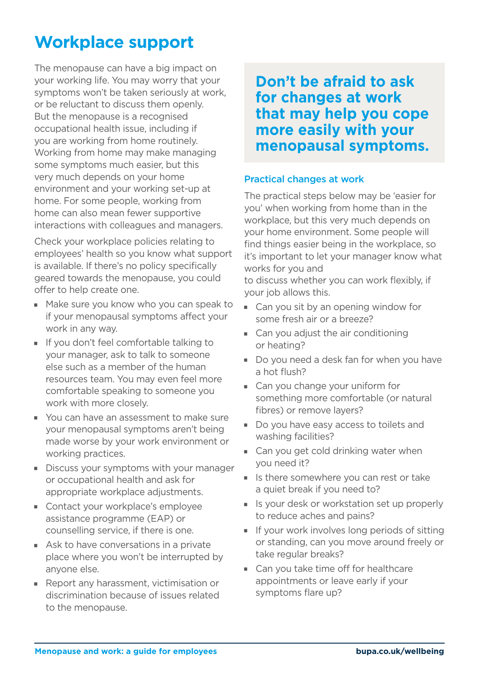# **Workplace support**

The menopause can have a big impact on your working life. You may worry that your symptoms won't be taken seriously at work, or be reluctant to discuss them openly. But the menopause is a recognised occupational health issue, including if you are working from home routinely. Working from home may make managing some symptoms much easier, but this very much depends on your home environment and your working set-up at home. For some people, working from home can also mean fewer supportive interactions with colleagues and managers.

Check your workplace policies relating to employees' health so you know what support is available. If there's no policy specifically geared towards the menopause, you could offer to help create one.

- Make sure you know who you can speak to if your menopausal symptoms affect your work in any way.
- If you don't feel comfortable talking to your manager, ask to talk to someone else such as a member of the human resources team. You may even feel more comfortable speaking to someone you work with more closely.
- You can have an assessment to make sure your menopausal symptoms aren't being made worse by your work environment or working practices.
- Discuss your symptoms with your manager or occupational health and ask for appropriate workplace adjustments.
- Contact your workplace's employee assistance programme (EAP) or counselling service, if there is one.
- $\blacksquare$  Ask to have conversations in a private place where you won't be interrupted by anyone else.
- $\blacksquare$  Report any harassment, victimisation or discrimination because of issues related to the menopause.

**Don't be afraid to ask for changes at work that may help you cope more easily with your menopausal symptoms.**

### Practical changes at work

The practical steps below may be 'easier for you' when working from home than in the workplace, but this very much depends on your home environment. Some people will find things easier being in the workplace, so it's important to let your manager know what works for you and

to discuss whether you can work flexibly, if your job allows this.

- $\blacksquare$  Can you sit by an opening window for some fresh air or a breeze?
- $\blacksquare$  Can you adjust the air conditioning or heating?
- Do you need a desk fan for when you have a hot flush?
- Can you change your uniform for something more comfortable (or natural fibres) or remove layers?
- Do you have easy access to toilets and washing facilities?
- Can you get cold drinking water when you need it?
- I Is there somewhere you can rest or take a quiet break if you need to?
- I Is your desk or workstation set up properly to reduce aches and pains?
- $\blacksquare$  If your work involves long periods of sitting or standing, can you move around freely or take regular breaks?
- Can you take time off for healthcare appointments or leave early if your symptoms flare up?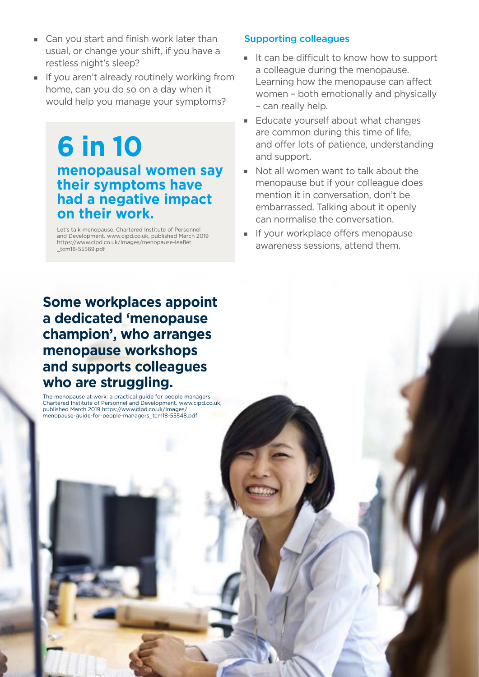- $\blacksquare$  Can you start and finish work later than usual, or change your shift, if you have a restless night's sleep?
- I If you aren't already routinely working from home, can you do so on a day when it would help you manage your symptoms?

# **6 in 10 menopausal women say their symptoms have had a negative impact on their work.**

Let's talk menopause. Chartered Institute of Personnel and Development. www.cipd.co.uk, published March 2019 https://www.cipd.co.uk/Images/menopause-leaflet \_tcm18-55569.pdf

### **Some workplaces appoint a dedicated 'menopause champion', who arranges menopause workshops and supports colleagues who are struggling.**

The menopause at work: a practical guide for people managers. Chartered Institute of Personnel and Development. www.cipd.co.uk, published March 2019 https://www.cipd.co.uk/Images/ menopause-guide-for-people-managers\_tcm18-55548.pdf

**Menopause and work: a guide for employees bupa.co.uk/wellbeing**

### Supporting colleagues

- $\blacksquare$  It can be difficult to know how to support a colleague during the menopause. Learning how the menopause can affect women – both emotionally and physically – can really help.
- Educate yourself about what changes are common during this time of life, and offer lots of patience, understanding and support.
- Not all women want to talk about the menopause but if your colleague does mention it in conversation, don't be embarrassed. Talking about it openly can normalise the conversation.
- If your workplace offers menopause awareness sessions, attend them.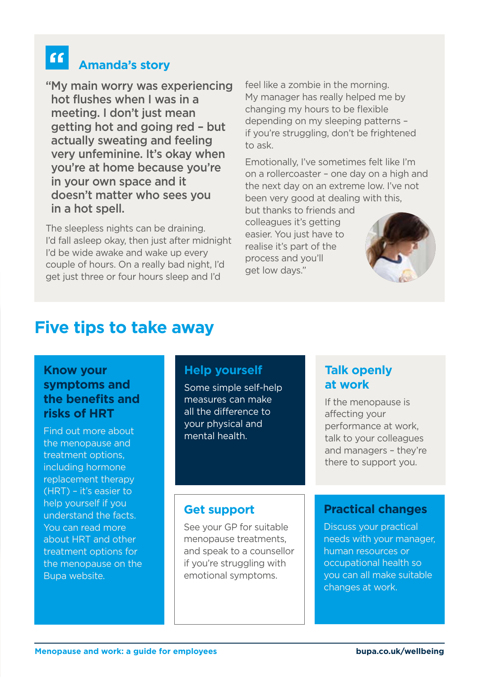# **Amanda's story**

"My main worry was experiencing hot flushes when I was in a meeting. I don't just mean getting hot and going red – but actually sweating and feeling very unfeminine. It's okay when you're at home because you're in your own space and it doesn't matter who sees you in a hot spell.

The sleepless nights can be draining. I'd fall asleep okay, then just after midnight I'd be wide awake and wake up every couple of hours. On a really bad night, I'd get just three or four hours sleep and I'd

feel like a zombie in the morning. My manager has really helped me by changing my hours to be flexible depending on my sleeping patterns – if you're struggling, don't be frightened to ask.

Emotionally, I've sometimes felt like I'm on a rollercoaster – one day on a high and the next day on an extreme low. I've not been very good at dealing with this,

but thanks to friends and colleagues it's getting easier. You just have to realise it's part of the process and you'll get low days."



## **Five tips to take away**

### **Know your symptoms and the benefits and risks of HRT**

Find out more about the menopause and treatment options, including hormone replacement therapy (HRT) – it's easier to help yourself if you understand the facts. You can read more about HRT and other treatment options for the menopause on the Bupa website.

|  | <b>Help yourself</b><br>Some simple self-help<br>measures can make<br>all the difference to<br>your physical and<br>mental health.                       | <b>Talk openly</b><br>at work<br>If the menopause is<br>affecting your<br>performance at work,<br>talk to your colleagues<br>and managers - they're<br>there to support you.           |
|--|----------------------------------------------------------------------------------------------------------------------------------------------------------|----------------------------------------------------------------------------------------------------------------------------------------------------------------------------------------|
|  | <b>Get support</b><br>See your GP for suitable<br>menopause treatments,<br>and speak to a counsellor<br>if you're struggling with<br>emotional symptoms. | <b>Practical changes</b><br><b>Discuss your practical</b><br>needs with your manager,<br>human resources or<br>occupational health so<br>you can all make suitable<br>changes at work. |